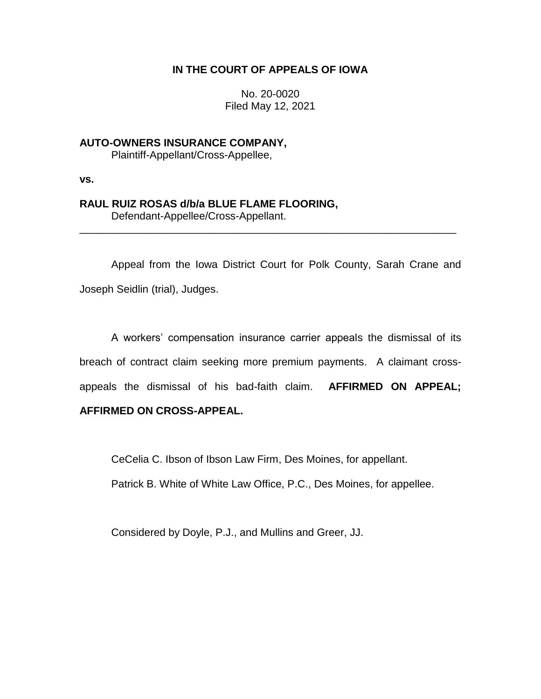## **IN THE COURT OF APPEALS OF IOWA**

No. 20-0020 Filed May 12, 2021

**AUTO-OWNERS INSURANCE COMPANY,** Plaintiff-Appellant/Cross-Appellee,

**vs.**

# **RAUL RUIZ ROSAS d/b/a BLUE FLAME FLOORING,**

Defendant-Appellee/Cross-Appellant.

Appeal from the Iowa District Court for Polk County, Sarah Crane and Joseph Seidlin (trial), Judges.

\_\_\_\_\_\_\_\_\_\_\_\_\_\_\_\_\_\_\_\_\_\_\_\_\_\_\_\_\_\_\_\_\_\_\_\_\_\_\_\_\_\_\_\_\_\_\_\_\_\_\_\_\_\_\_\_\_\_\_\_\_\_\_\_

A workers' compensation insurance carrier appeals the dismissal of its breach of contract claim seeking more premium payments. A claimant crossappeals the dismissal of his bad-faith claim. **AFFIRMED ON APPEAL;** 

# **AFFIRMED ON CROSS-APPEAL.**

CeCelia C. Ibson of Ibson Law Firm, Des Moines, for appellant.

Patrick B. White of White Law Office, P.C., Des Moines, for appellee.

Considered by Doyle, P.J., and Mullins and Greer, JJ.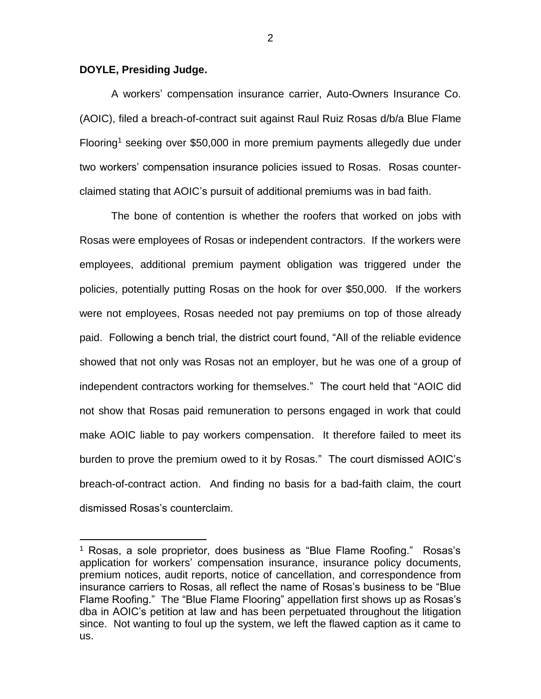#### **DOYLE, Presiding Judge.**

 $\overline{a}$ 

A workers' compensation insurance carrier, Auto-Owners Insurance Co. (AOIC), filed a breach-of-contract suit against Raul Ruiz Rosas d/b/a Blue Flame Flooring<sup>1</sup> seeking over \$50,000 in more premium payments allegedly due under two workers' compensation insurance policies issued to Rosas. Rosas counterclaimed stating that AOIC's pursuit of additional premiums was in bad faith.

The bone of contention is whether the roofers that worked on jobs with Rosas were employees of Rosas or independent contractors. If the workers were employees, additional premium payment obligation was triggered under the policies, potentially putting Rosas on the hook for over \$50,000. If the workers were not employees, Rosas needed not pay premiums on top of those already paid. Following a bench trial, the district court found, "All of the reliable evidence showed that not only was Rosas not an employer, but he was one of a group of independent contractors working for themselves." The court held that "AOIC did not show that Rosas paid remuneration to persons engaged in work that could make AOIC liable to pay workers compensation. It therefore failed to meet its burden to prove the premium owed to it by Rosas." The court dismissed AOIC's breach-of-contract action. And finding no basis for a bad-faith claim, the court dismissed Rosas's counterclaim.

<sup>1</sup> Rosas, a sole proprietor, does business as "Blue Flame Roofing." Rosas's application for workers' compensation insurance, insurance policy documents, premium notices, audit reports, notice of cancellation, and correspondence from insurance carriers to Rosas, all reflect the name of Rosas's business to be "Blue Flame Roofing." The "Blue Flame Flooring" appellation first shows up as Rosas's dba in AOIC's petition at law and has been perpetuated throughout the litigation since. Not wanting to foul up the system, we left the flawed caption as it came to us.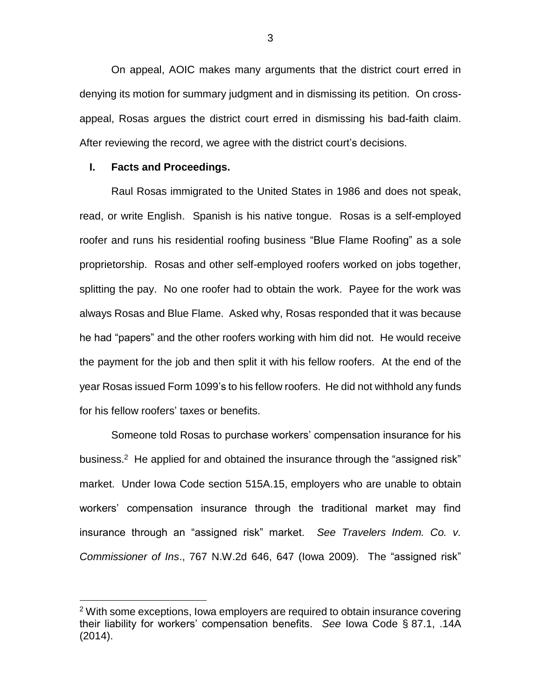On appeal, AOIC makes many arguments that the district court erred in denying its motion for summary judgment and in dismissing its petition. On crossappeal, Rosas argues the district court erred in dismissing his bad-faith claim. After reviewing the record, we agree with the district court's decisions.

#### **I. Facts and Proceedings.**

 $\overline{a}$ 

Raul Rosas immigrated to the United States in 1986 and does not speak, read, or write English. Spanish is his native tongue. Rosas is a self-employed roofer and runs his residential roofing business "Blue Flame Roofing" as a sole proprietorship. Rosas and other self-employed roofers worked on jobs together, splitting the pay. No one roofer had to obtain the work. Payee for the work was always Rosas and Blue Flame. Asked why, Rosas responded that it was because he had "papers" and the other roofers working with him did not. He would receive the payment for the job and then split it with his fellow roofers. At the end of the year Rosas issued Form 1099's to his fellow roofers. He did not withhold any funds for his fellow roofers' taxes or benefits.

Someone told Rosas to purchase workers' compensation insurance for his business.<sup>2</sup> He applied for and obtained the insurance through the "assigned risk" market. Under Iowa Code section 515A.15, employers who are unable to obtain workers' compensation insurance through the traditional market may find insurance through an "assigned risk" market. *See Travelers Indem. Co. v. Commissioner of Ins*., 767 N.W.2d 646, 647 (Iowa 2009). The "assigned risk"

 $2$  With some exceptions, lowa employers are required to obtain insurance covering their liability for workers' compensation benefits. *See* Iowa Code § 87.1, .14A (2014).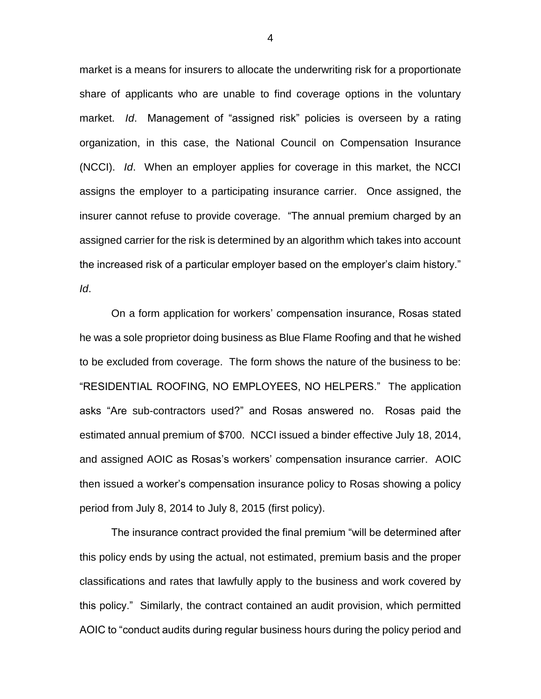market is a means for insurers to allocate the underwriting risk for a proportionate share of applicants who are unable to find coverage options in the voluntary market. *Id*. Management of "assigned risk" policies is overseen by a rating organization, in this case, the National Council on Compensation Insurance (NCCI). *Id*. When an employer applies for coverage in this market, the NCCI assigns the employer to a participating insurance carrier. Once assigned, the insurer cannot refuse to provide coverage. "The annual premium charged by an assigned carrier for the risk is determined by an algorithm which takes into account the increased risk of a particular employer based on the employer's claim history." *Id*.

On a form application for workers' compensation insurance, Rosas stated he was a sole proprietor doing business as Blue Flame Roofing and that he wished to be excluded from coverage. The form shows the nature of the business to be: "RESIDENTIAL ROOFING, NO EMPLOYEES, NO HELPERS." The application asks "Are sub-contractors used?" and Rosas answered no. Rosas paid the estimated annual premium of \$700. NCCI issued a binder effective July 18, 2014, and assigned AOIC as Rosas's workers' compensation insurance carrier. AOIC then issued a worker's compensation insurance policy to Rosas showing a policy period from July 8, 2014 to July 8, 2015 (first policy).

The insurance contract provided the final premium "will be determined after this policy ends by using the actual, not estimated, premium basis and the proper classifications and rates that lawfully apply to the business and work covered by this policy." Similarly, the contract contained an audit provision, which permitted AOIC to "conduct audits during regular business hours during the policy period and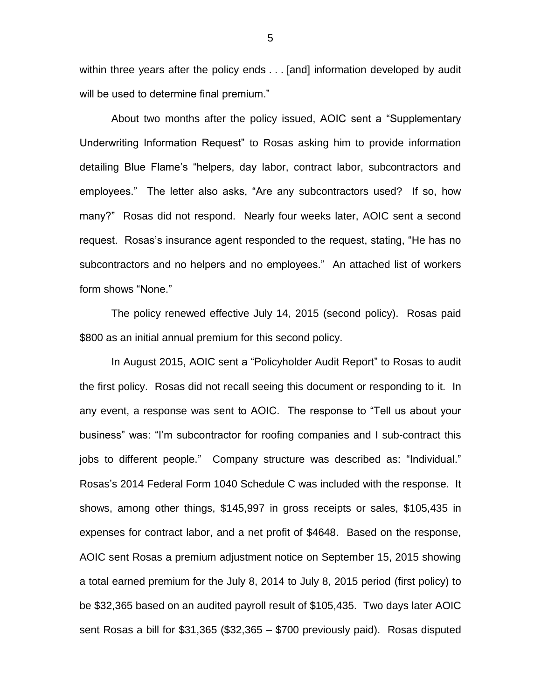within three years after the policy ends . . . [and] information developed by audit will be used to determine final premium."

About two months after the policy issued, AOIC sent a "Supplementary Underwriting Information Request" to Rosas asking him to provide information detailing Blue Flame's "helpers, day labor, contract labor, subcontractors and employees." The letter also asks, "Are any subcontractors used? If so, how many?" Rosas did not respond. Nearly four weeks later, AOIC sent a second request. Rosas's insurance agent responded to the request, stating, "He has no subcontractors and no helpers and no employees." An attached list of workers form shows "None."

The policy renewed effective July 14, 2015 (second policy). Rosas paid \$800 as an initial annual premium for this second policy.

In August 2015, AOIC sent a "Policyholder Audit Report" to Rosas to audit the first policy. Rosas did not recall seeing this document or responding to it. In any event, a response was sent to AOIC. The response to "Tell us about your business" was: "I'm subcontractor for roofing companies and I sub-contract this jobs to different people." Company structure was described as: "Individual." Rosas's 2014 Federal Form 1040 Schedule C was included with the response. It shows, among other things, \$145,997 in gross receipts or sales, \$105,435 in expenses for contract labor, and a net profit of \$4648. Based on the response, AOIC sent Rosas a premium adjustment notice on September 15, 2015 showing a total earned premium for the July 8, 2014 to July 8, 2015 period (first policy) to be \$32,365 based on an audited payroll result of \$105,435. Two days later AOIC sent Rosas a bill for \$31,365 (\$32,365 – \$700 previously paid). Rosas disputed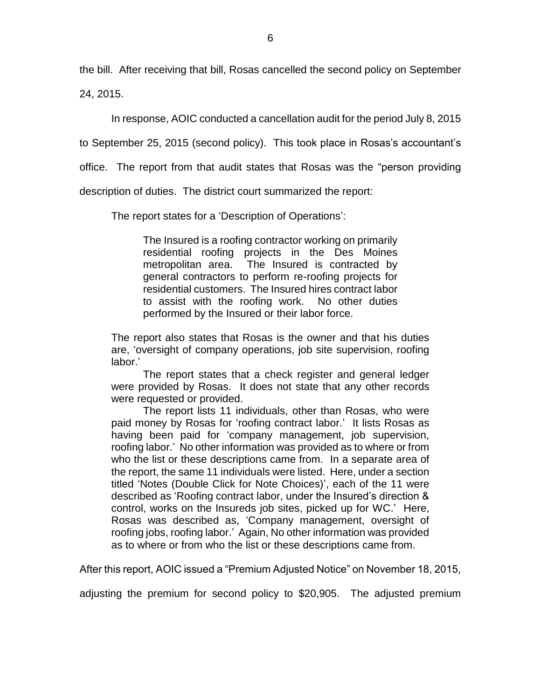the bill. After receiving that bill, Rosas cancelled the second policy on September 24, 2015.

In response, AOIC conducted a cancellation audit for the period July 8, 2015

to September 25, 2015 (second policy). This took place in Rosas's accountant's

office. The report from that audit states that Rosas was the "person providing

description of duties. The district court summarized the report:

The report states for a 'Description of Operations':

The Insured is a roofing contractor working on primarily residential roofing projects in the Des Moines metropolitan area. The Insured is contracted by general contractors to perform re-roofing projects for residential customers. The Insured hires contract labor to assist with the roofing work. No other duties performed by the Insured or their labor force.

The report also states that Rosas is the owner and that his duties are, 'oversight of company operations, job site supervision, roofing labor.'

The report states that a check register and general ledger were provided by Rosas. It does not state that any other records were requested or provided.

The report lists 11 individuals, other than Rosas, who were paid money by Rosas for 'roofing contract labor.' It lists Rosas as having been paid for 'company management, job supervision, roofing labor.' No other information was provided as to where or from who the list or these descriptions came from. In a separate area of the report, the same 11 individuals were listed. Here, under a section titled 'Notes (Double Click for Note Choices)', each of the 11 were described as 'Roofing contract labor, under the Insured's direction & control, works on the Insureds job sites, picked up for WC.' Here, Rosas was described as, 'Company management, oversight of roofing jobs, roofing labor.' Again, No other information was provided as to where or from who the list or these descriptions came from.

After this report, AOIC issued a "Premium Adjusted Notice" on November 18, 2015,

adjusting the premium for second policy to \$20,905. The adjusted premium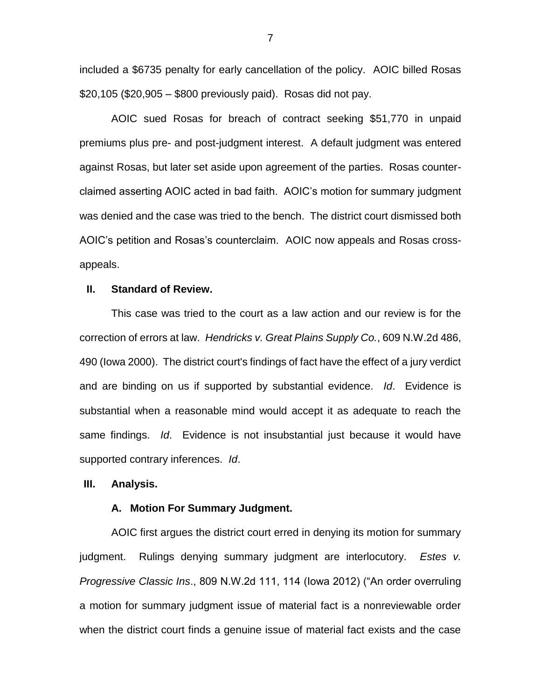included a \$6735 penalty for early cancellation of the policy. AOIC billed Rosas \$20,105 (\$20,905 – \$800 previously paid). Rosas did not pay.

AOIC sued Rosas for breach of contract seeking \$51,770 in unpaid premiums plus pre- and post-judgment interest. A default judgment was entered against Rosas, but later set aside upon agreement of the parties. Rosas counterclaimed asserting AOIC acted in bad faith. AOIC's motion for summary judgment was denied and the case was tried to the bench. The district court dismissed both AOIC's petition and Rosas's counterclaim. AOIC now appeals and Rosas crossappeals.

#### **II. Standard of Review.**

This case was tried to the court as a law action and our review is for the correction of errors at law. *Hendricks v. Great Plains Supply Co.*, 609 N.W.2d 486, 490 (Iowa 2000). The district court's findings of fact have the effect of a jury verdict and are binding on us if supported by substantial evidence. *Id*. Evidence is substantial when a reasonable mind would accept it as adequate to reach the same findings. *Id*. Evidence is not insubstantial just because it would have supported contrary inferences. *Id*.

#### **III. Analysis.**

#### **A. Motion For Summary Judgment.**

AOIC first argues the district court erred in denying its motion for summary judgment. Rulings denying summary judgment are interlocutory. *Estes v. Progressive Classic Ins*., 809 N.W.2d 111, 114 (Iowa 2012) ("An order overruling a motion for summary judgment issue of material fact is a nonreviewable order when the district court finds a genuine issue of material fact exists and the case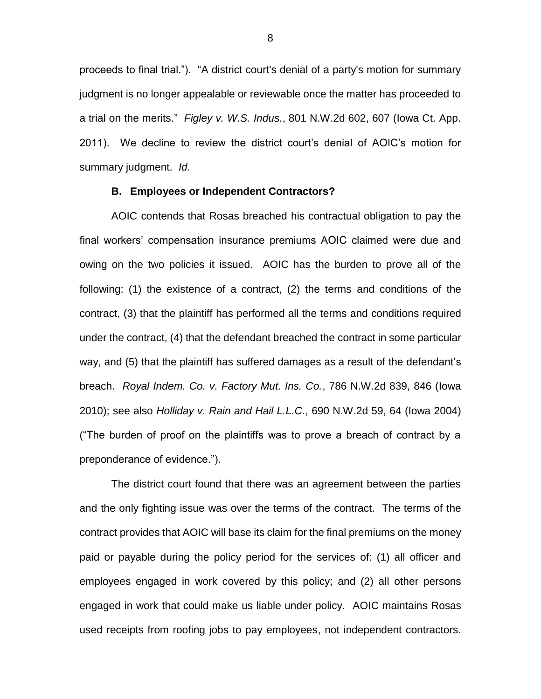proceeds to final trial."). "A district court's denial of a party's motion for summary judgment is no longer appealable or reviewable once the matter has proceeded to a trial on the merits." *Figley v. W.S. Indus.*, 801 N.W.2d 602, 607 (Iowa Ct. App. 2011). We decline to review the district court's denial of AOIC's motion for summary judgment. *Id*.

#### **B. Employees or Independent Contractors?**

AOIC contends that Rosas breached his contractual obligation to pay the final workers' compensation insurance premiums AOIC claimed were due and owing on the two policies it issued. AOIC has the burden to prove all of the following: (1) the existence of a contract, (2) the terms and conditions of the contract, (3) that the plaintiff has performed all the terms and conditions required under the contract, (4) that the defendant breached the contract in some particular way, and (5) that the plaintiff has suffered damages as a result of the defendant's breach. *Royal Indem. Co. v. Factory Mut. Ins. Co.*, 786 N.W.2d 839, 846 (Iowa 2010); see also *Holliday v. Rain and Hail L.L.C.*, 690 N.W.2d 59, 64 (Iowa 2004) ("The burden of proof on the plaintiffs was to prove a breach of contract by a preponderance of evidence.").

The district court found that there was an agreement between the parties and the only fighting issue was over the terms of the contract. The terms of the contract provides that AOIC will base its claim for the final premiums on the money paid or payable during the policy period for the services of: (1) all officer and employees engaged in work covered by this policy; and (2) all other persons engaged in work that could make us liable under policy. AOIC maintains Rosas used receipts from roofing jobs to pay employees, not independent contractors.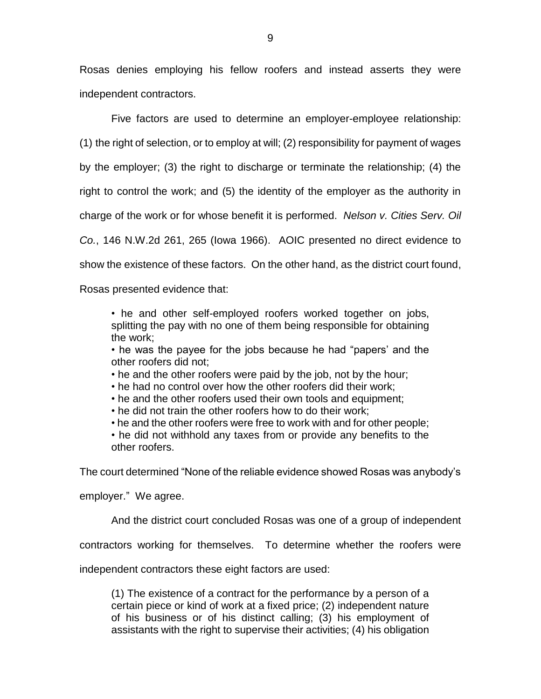Rosas denies employing his fellow roofers and instead asserts they were independent contractors.

Five factors are used to determine an employer-employee relationship:

(1) the right of selection, or to employ at will; (2) responsibility for payment of wages

by the employer; (3) the right to discharge or terminate the relationship; (4) the

right to control the work; and (5) the identity of the employer as the authority in

charge of the work or for whose benefit it is performed. *Nelson v. Cities Serv. Oil* 

*Co.*, 146 N.W.2d 261, 265 (Iowa 1966). AOIC presented no direct evidence to

show the existence of these factors. On the other hand, as the district court found,

Rosas presented evidence that:

• he and other self-employed roofers worked together on jobs, splitting the pay with no one of them being responsible for obtaining the work;

• he was the payee for the jobs because he had "papers' and the other roofers did not;

- he and the other roofers were paid by the job, not by the hour;
- he had no control over how the other roofers did their work;
- he and the other roofers used their own tools and equipment:
- he did not train the other roofers how to do their work;
- he and the other roofers were free to work with and for other people;

• he did not withhold any taxes from or provide any benefits to the other roofers.

The court determined "None of the reliable evidence showed Rosas was anybody's

employer." We agree.

And the district court concluded Rosas was one of a group of independent

contractors working for themselves. To determine whether the roofers were

independent contractors these eight factors are used:

(1) The existence of a contract for the performance by a person of a certain piece or kind of work at a fixed price; (2) independent nature of his business or of his distinct calling; (3) his employment of assistants with the right to supervise their activities; (4) his obligation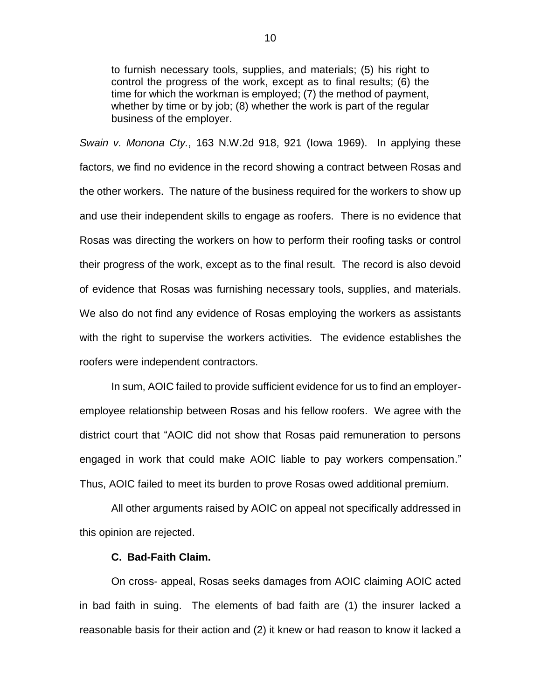to furnish necessary tools, supplies, and materials; (5) his right to control the progress of the work, except as to final results; (6) the time for which the workman is employed; (7) the method of payment, whether by time or by job; (8) whether the work is part of the regular business of the employer.

*Swain v. Monona Cty.*, 163 N.W.2d 918, 921 (Iowa 1969). In applying these factors, we find no evidence in the record showing a contract between Rosas and the other workers. The nature of the business required for the workers to show up and use their independent skills to engage as roofers. There is no evidence that Rosas was directing the workers on how to perform their roofing tasks or control their progress of the work, except as to the final result. The record is also devoid of evidence that Rosas was furnishing necessary tools, supplies, and materials. We also do not find any evidence of Rosas employing the workers as assistants with the right to supervise the workers activities. The evidence establishes the roofers were independent contractors.

In sum, AOIC failed to provide sufficient evidence for us to find an employeremployee relationship between Rosas and his fellow roofers. We agree with the district court that "AOIC did not show that Rosas paid remuneration to persons engaged in work that could make AOIC liable to pay workers compensation." Thus, AOIC failed to meet its burden to prove Rosas owed additional premium.

All other arguments raised by AOIC on appeal not specifically addressed in this opinion are rejected.

#### **C. Bad-Faith Claim.**

On cross- appeal, Rosas seeks damages from AOIC claiming AOIC acted in bad faith in suing. The elements of bad faith are (1) the insurer lacked a reasonable basis for their action and (2) it knew or had reason to know it lacked a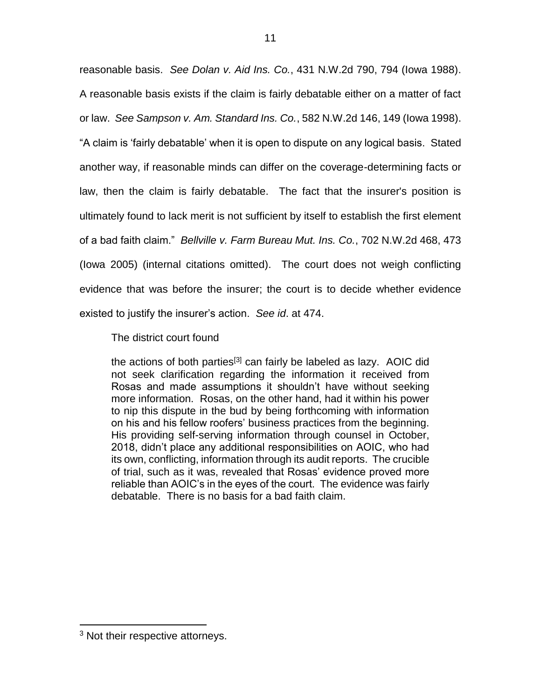reasonable basis. *See Dolan v. Aid Ins. Co.*, 431 N.W.2d 790, 794 (Iowa 1988). A reasonable basis exists if the claim is fairly debatable either on a matter of fact or law. *See Sampson v. Am. Standard Ins. Co.*, 582 N.W.2d 146, 149 (Iowa 1998). "A claim is 'fairly debatable' when it is open to dispute on any logical basis. Stated another way, if reasonable minds can differ on the coverage-determining facts or law, then the claim is fairly debatable. The fact that the insurer's position is ultimately found to lack merit is not sufficient by itself to establish the first element of a bad faith claim." *Bellville v. Farm Bureau Mut. Ins. Co.*, 702 N.W.2d 468, 473 (Iowa 2005) (internal citations omitted). The court does not weigh conflicting evidence that was before the insurer; the court is to decide whether evidence existed to justify the insurer's action. *See id*. at 474.

The district court found

the actions of both parties<sup>[3]</sup> can fairly be labeled as lazy. AOIC did not seek clarification regarding the information it received from Rosas and made assumptions it shouldn't have without seeking more information. Rosas, on the other hand, had it within his power to nip this dispute in the bud by being forthcoming with information on his and his fellow roofers' business practices from the beginning. His providing self-serving information through counsel in October, 2018, didn't place any additional responsibilities on AOIC, who had its own, conflicting, information through its audit reports. The crucible of trial, such as it was, revealed that Rosas' evidence proved more reliable than AOIC's in the eyes of the court. The evidence was fairly debatable. There is no basis for a bad faith claim.

 $\overline{a}$ <sup>3</sup> Not their respective attorneys.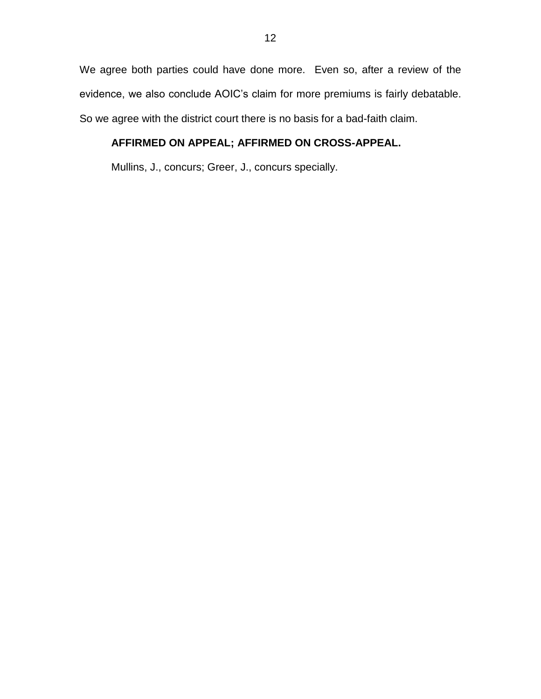We agree both parties could have done more. Even so, after a review of the evidence, we also conclude AOIC's claim for more premiums is fairly debatable. So we agree with the district court there is no basis for a bad-faith claim.

# **AFFIRMED ON APPEAL; AFFIRMED ON CROSS-APPEAL.**

Mullins, J., concurs; Greer, J., concurs specially.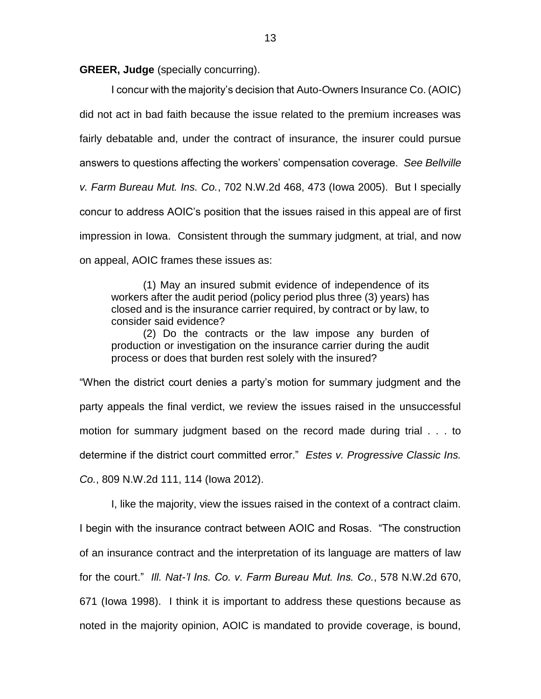**GREER, Judge** (specially concurring).

I concur with the majority's decision that Auto-Owners Insurance Co. (AOIC) did not act in bad faith because the issue related to the premium increases was fairly debatable and, under the contract of insurance, the insurer could pursue answers to questions affecting the workers' compensation coverage. *See Bellville v. Farm Bureau Mut. Ins. Co.*, 702 N.W.2d 468, 473 (Iowa 2005). But I specially concur to address AOIC's position that the issues raised in this appeal are of first impression in Iowa. Consistent through the summary judgment, at trial, and now on appeal, AOIC frames these issues as:

(1) May an insured submit evidence of independence of its workers after the audit period (policy period plus three (3) years) has closed and is the insurance carrier required, by contract or by law, to consider said evidence?

(2) Do the contracts or the law impose any burden of production or investigation on the insurance carrier during the audit process or does that burden rest solely with the insured?

"When the district court denies a party's motion for summary judgment and the party appeals the final verdict, we review the issues raised in the unsuccessful motion for summary judgment based on the record made during trial . . . to determine if the district court committed error." *Estes v. Progressive Classic Ins. Co.*, 809 N.W.2d 111, 114 (Iowa 2012).

I, like the majority, view the issues raised in the context of a contract claim. I begin with the insurance contract between AOIC and Rosas. "The construction of an insurance contract and the interpretation of its language are matters of law for the court." *Ill. Nat-'l Ins. Co. v. Farm Bureau Mut. Ins. Co.*, 578 N.W.2d 670, 671 (Iowa 1998). I think it is important to address these questions because as noted in the majority opinion, AOIC is mandated to provide coverage, is bound,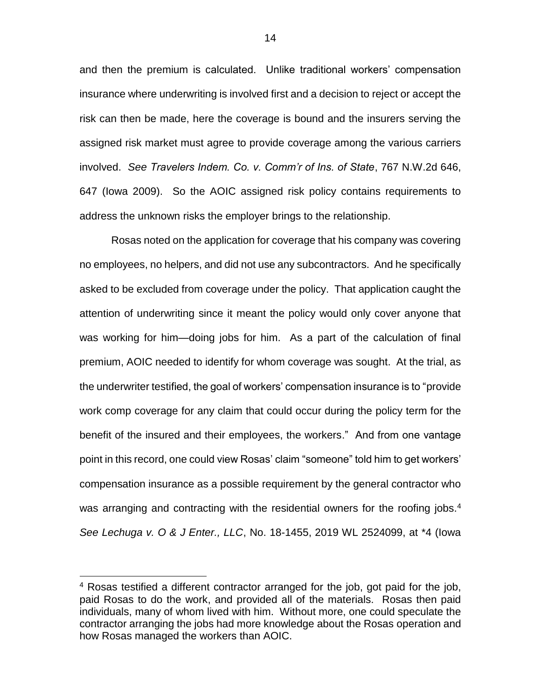and then the premium is calculated. Unlike traditional workers' compensation insurance where underwriting is involved first and a decision to reject or accept the risk can then be made, here the coverage is bound and the insurers serving the assigned risk market must agree to provide coverage among the various carriers involved. *See Travelers Indem. Co. v. Comm'r of Ins. of State*, 767 N.W.2d 646, 647 (Iowa 2009). So the AOIC assigned risk policy contains requirements to address the unknown risks the employer brings to the relationship.

Rosas noted on the application for coverage that his company was covering no employees, no helpers, and did not use any subcontractors. And he specifically asked to be excluded from coverage under the policy. That application caught the attention of underwriting since it meant the policy would only cover anyone that was working for him—doing jobs for him. As a part of the calculation of final premium, AOIC needed to identify for whom coverage was sought. At the trial, as the underwriter testified, the goal of workers' compensation insurance is to "provide work comp coverage for any claim that could occur during the policy term for the benefit of the insured and their employees, the workers." And from one vantage point in this record, one could view Rosas' claim "someone" told him to get workers' compensation insurance as a possible requirement by the general contractor who was arranging and contracting with the residential owners for the roofing jobs.<sup>4</sup> *See Lechuga v. O & J Enter., LLC*, No. 18-1455, 2019 WL 2524099, at \*4 (Iowa

 $\overline{a}$ 

<sup>4</sup> Rosas testified a different contractor arranged for the job, got paid for the job, paid Rosas to do the work, and provided all of the materials. Rosas then paid individuals, many of whom lived with him. Without more, one could speculate the contractor arranging the jobs had more knowledge about the Rosas operation and how Rosas managed the workers than AOIC.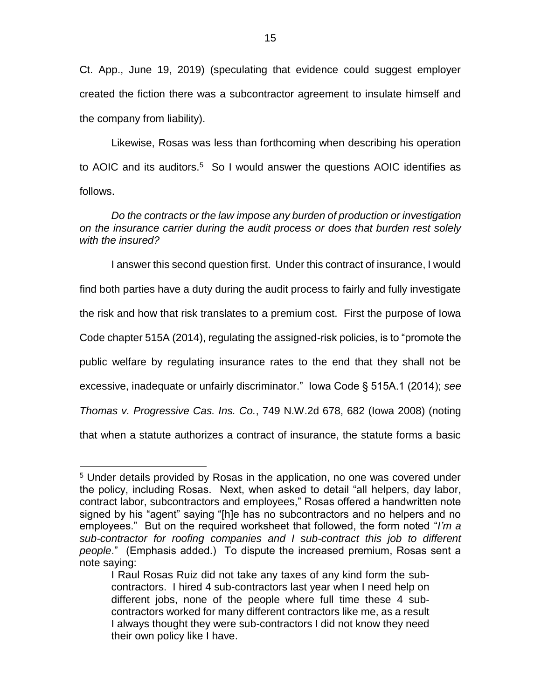Ct. App., June 19, 2019) (speculating that evidence could suggest employer created the fiction there was a subcontractor agreement to insulate himself and the company from liability).

Likewise, Rosas was less than forthcoming when describing his operation to AOIC and its auditors.<sup>5</sup> So I would answer the questions AOIC identifies as follows.

## *Do the contracts or the law impose any burden of production or investigation on the insurance carrier during the audit process or does that burden rest solely with the insured?*

I answer this second question first. Under this contract of insurance, I would find both parties have a duty during the audit process to fairly and fully investigate the risk and how that risk translates to a premium cost. First the purpose of Iowa Code chapter 515A (2014), regulating the assigned-risk policies, is to "promote the public welfare by regulating insurance rates to the end that they shall not be excessive, inadequate or unfairly discriminator." Iowa Code § 515A.1 (2014); *see Thomas v. Progressive Cas. Ins. Co.*, 749 N.W.2d 678, 682 (Iowa 2008) (noting that when a statute authorizes a contract of insurance, the statute forms a basic

 $\overline{a}$ 

<sup>5</sup> Under details provided by Rosas in the application, no one was covered under the policy, including Rosas. Next, when asked to detail "all helpers, day labor, contract labor, subcontractors and employees," Rosas offered a handwritten note signed by his "agent" saying "[h]e has no subcontractors and no helpers and no employees." But on the required worksheet that followed, the form noted "*I'm a sub-contractor for roofing companies and I sub-contract this job to different people*." (Emphasis added.) To dispute the increased premium, Rosas sent a note saying:

I Raul Rosas Ruiz did not take any taxes of any kind form the subcontractors. I hired 4 sub-contractors last year when I need help on different jobs, none of the people where full time these 4 subcontractors worked for many different contractors like me, as a result I always thought they were sub-contractors I did not know they need their own policy like I have.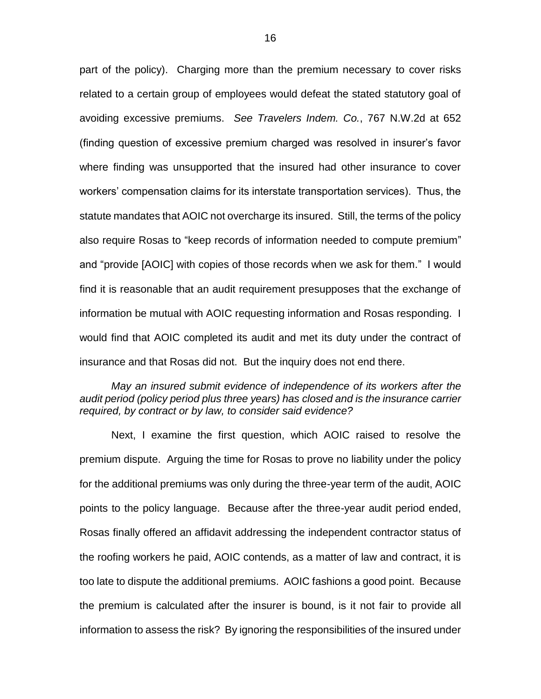part of the policy). Charging more than the premium necessary to cover risks related to a certain group of employees would defeat the stated statutory goal of avoiding excessive premiums. *See Travelers Indem. Co.*, 767 N.W.2d at 652 (finding question of excessive premium charged was resolved in insurer's favor where finding was unsupported that the insured had other insurance to cover workers' compensation claims for its interstate transportation services). Thus, the statute mandates that AOIC not overcharge its insured. Still, the terms of the policy also require Rosas to "keep records of information needed to compute premium" and "provide [AOIC] with copies of those records when we ask for them." I would find it is reasonable that an audit requirement presupposes that the exchange of information be mutual with AOIC requesting information and Rosas responding. I would find that AOIC completed its audit and met its duty under the contract of insurance and that Rosas did not. But the inquiry does not end there.

### *May an insured submit evidence of independence of its workers after the audit period (policy period plus three years) has closed and is the insurance carrier required, by contract or by law, to consider said evidence?*

Next, I examine the first question, which AOIC raised to resolve the premium dispute. Arguing the time for Rosas to prove no liability under the policy for the additional premiums was only during the three-year term of the audit, AOIC points to the policy language. Because after the three-year audit period ended, Rosas finally offered an affidavit addressing the independent contractor status of the roofing workers he paid, AOIC contends, as a matter of law and contract, it is too late to dispute the additional premiums. AOIC fashions a good point. Because the premium is calculated after the insurer is bound, is it not fair to provide all information to assess the risk? By ignoring the responsibilities of the insured under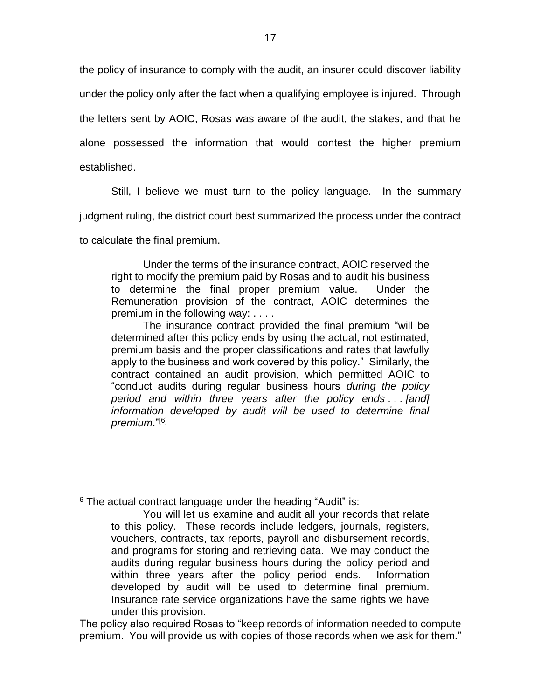the policy of insurance to comply with the audit, an insurer could discover liability under the policy only after the fact when a qualifying employee is injured. Through the letters sent by AOIC, Rosas was aware of the audit, the stakes, and that he alone possessed the information that would contest the higher premium established.

Still, I believe we must turn to the policy language. In the summary judgment ruling, the district court best summarized the process under the contract

to calculate the final premium.

 $\overline{a}$ 

Under the terms of the insurance contract, AOIC reserved the right to modify the premium paid by Rosas and to audit his business to determine the final proper premium value. Under the Remuneration provision of the contract, AOIC determines the premium in the following way: . . . .

The insurance contract provided the final premium "will be determined after this policy ends by using the actual, not estimated, premium basis and the proper classifications and rates that lawfully apply to the business and work covered by this policy." Similarly, the contract contained an audit provision, which permitted AOIC to "conduct audits during regular business hours *during the policy period and within three years after the policy ends . . . [and] information developed by audit will be used to determine final premium*."[6]

 $6$  The actual contract language under the heading "Audit" is:

The policy also required Rosas to "keep records of information needed to compute premium. You will provide us with copies of those records when we ask for them."

You will let us examine and audit all your records that relate to this policy. These records include ledgers, journals, registers, vouchers, contracts, tax reports, payroll and disbursement records, and programs for storing and retrieving data. We may conduct the audits during regular business hours during the policy period and within three years after the policy period ends. Information developed by audit will be used to determine final premium. Insurance rate service organizations have the same rights we have under this provision.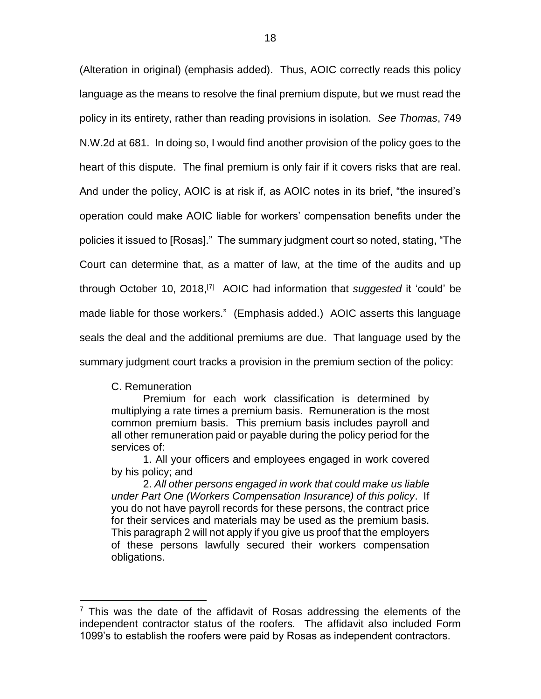(Alteration in original) (emphasis added). Thus, AOIC correctly reads this policy language as the means to resolve the final premium dispute, but we must read the policy in its entirety, rather than reading provisions in isolation. *See Thomas*, 749 N.W.2d at 681. In doing so, I would find another provision of the policy goes to the heart of this dispute. The final premium is only fair if it covers risks that are real. And under the policy, AOIC is at risk if, as AOIC notes in its brief, "the insured's operation could make AOIC liable for workers' compensation benefits under the policies it issued to [Rosas]." The summary judgment court so noted, stating, "The Court can determine that, as a matter of law, at the time of the audits and up through October 10, 2018, [7] AOIC had information that *suggested* it 'could' be made liable for those workers." (Emphasis added.) AOIC asserts this language seals the deal and the additional premiums are due. That language used by the summary judgment court tracks a provision in the premium section of the policy:

C. Remuneration

 $\overline{a}$ 

Premium for each work classification is determined by multiplying a rate times a premium basis. Remuneration is the most common premium basis. This premium basis includes payroll and all other remuneration paid or payable during the policy period for the services of:

1. All your officers and employees engaged in work covered by his policy; and

2. *All other persons engaged in work that could make us liable under Part One (Workers Compensation Insurance) of this policy*. If you do not have payroll records for these persons, the contract price for their services and materials may be used as the premium basis. This paragraph 2 will not apply if you give us proof that the employers of these persons lawfully secured their workers compensation obligations.

 $7$  This was the date of the affidavit of Rosas addressing the elements of the independent contractor status of the roofers. The affidavit also included Form 1099's to establish the roofers were paid by Rosas as independent contractors.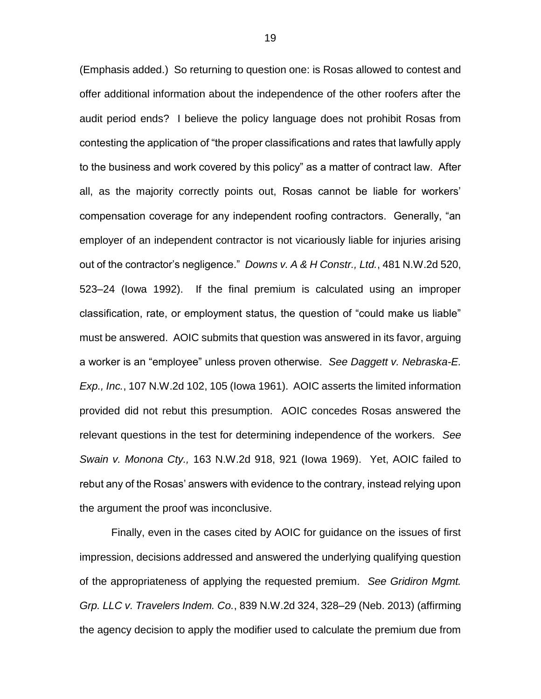(Emphasis added.) So returning to question one: is Rosas allowed to contest and offer additional information about the independence of the other roofers after the audit period ends? I believe the policy language does not prohibit Rosas from contesting the application of "the proper classifications and rates that lawfully apply to the business and work covered by this policy" as a matter of contract law. After all, as the majority correctly points out, Rosas cannot be liable for workers' compensation coverage for any independent roofing contractors. Generally, "an employer of an independent contractor is not vicariously liable for injuries arising out of the contractor's negligence." *Downs v. A & H Constr., Ltd.*, 481 N.W.2d 520, 523–24 (Iowa 1992). If the final premium is calculated using an improper classification, rate, or employment status, the question of "could make us liable" must be answered. AOIC submits that question was answered in its favor, arguing a worker is an "employee" unless proven otherwise. *See Daggett v. Nebraska-E. Exp., Inc.*, 107 N.W.2d 102, 105 (Iowa 1961). AOIC asserts the limited information provided did not rebut this presumption. AOIC concedes Rosas answered the relevant questions in the test for determining independence of the workers. *See Swain v. Monona Cty.,* 163 N.W.2d 918, 921 (Iowa 1969). Yet, AOIC failed to rebut any of the Rosas' answers with evidence to the contrary, instead relying upon the argument the proof was inconclusive.

Finally, even in the cases cited by AOIC for guidance on the issues of first impression, decisions addressed and answered the underlying qualifying question of the appropriateness of applying the requested premium. *See Gridiron Mgmt. Grp. LLC v. Travelers Indem. Co.*, 839 N.W.2d 324, 328–29 (Neb. 2013) (affirming the agency decision to apply the modifier used to calculate the premium due from